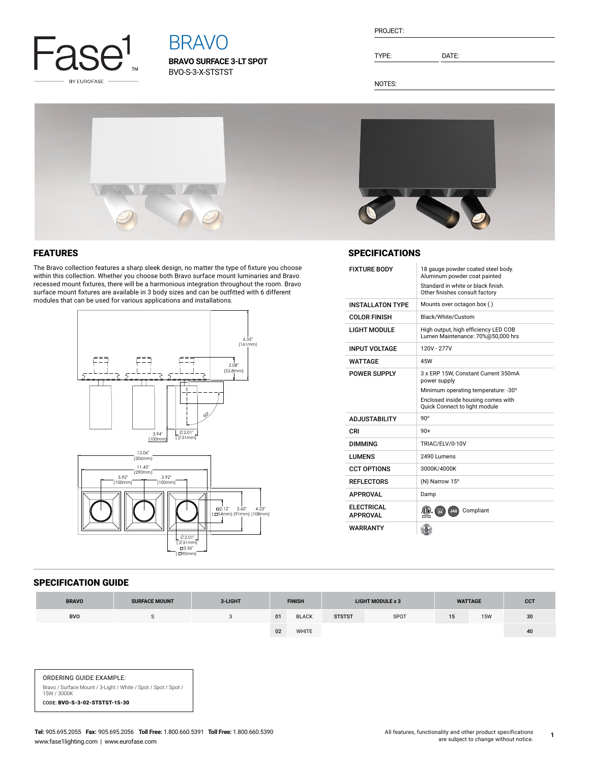

# BRAVO

**BRAVO SURFACE 3-LT SPOT** BVO-S-3-X-STSTST

| <b>PROJECT:</b> |  |
|-----------------|--|
|                 |  |

TYPE: DATE:

NOTES:



## FEATURES

The Bravo collection features a sharp sleek design, no matter the type of fixture you choose within this collection. Whether you choose both Bravo surface mount luminaries and Bravo recessed mount fixtures, there will be a harmonious integration throughout the room. Bravo surface mount fixtures are available in 3 body sizes and can be outfitted with 6 different modules that can be used for various applications and installations.





### **SPECIFICATIONS**

| <b>FIXTURE BODY</b>                  | 18 gauge powder coated steel body.<br>Aluminum powder coat painted<br>Standard in white or black finish.<br>Other finishes consult factory                        |  |  |  |  |  |
|--------------------------------------|-------------------------------------------------------------------------------------------------------------------------------------------------------------------|--|--|--|--|--|
| <b>INSTALLATON TYPE</b>              | Mounts over octagon box ()                                                                                                                                        |  |  |  |  |  |
| <b>COLOR FINISH</b>                  | Black/White/Custom                                                                                                                                                |  |  |  |  |  |
| <b>LIGHT MODULE</b>                  | High output, high efficiency LED COB<br>Lumen Maintenance: 70%@50,000 hrs                                                                                         |  |  |  |  |  |
| <b>INPUT VOLTAGE</b>                 | 120V - 277V                                                                                                                                                       |  |  |  |  |  |
| WATTAGF                              | 45W                                                                                                                                                               |  |  |  |  |  |
| <b>POWER SUPPLY</b>                  | 3 x ERP 15W. Constant Current 350mA<br>power supply<br>Minimum operating temperature: -30°<br>Enclosed inside housing comes with<br>Quick Connect to light module |  |  |  |  |  |
| <b>ADJUSTABILITY</b>                 | $90^\circ$                                                                                                                                                        |  |  |  |  |  |
| CRI                                  | $90+$                                                                                                                                                             |  |  |  |  |  |
| <b>DIMMING</b>                       | TRIAC/ELV/0-10V                                                                                                                                                   |  |  |  |  |  |
| <b>I UMENS</b>                       | 2490 Lumens                                                                                                                                                       |  |  |  |  |  |
| <b>CCT OPTIONS</b>                   | 3000K/4000K                                                                                                                                                       |  |  |  |  |  |
| <b>REFLECTORS</b>                    | (N) Narrow 15°                                                                                                                                                    |  |  |  |  |  |
| <b>APPROVAL</b>                      | Damp                                                                                                                                                              |  |  |  |  |  |
| <b>ELECTRICAL</b><br><b>APPROVAL</b> | Compliant<br>$\frac{1}{24}$<br>JA8                                                                                                                                |  |  |  |  |  |
| <b>WARRANTY</b>                      |                                                                                                                                                                   |  |  |  |  |  |

#### SPECIFICATION GUIDE

| <b>BRAVO</b> | <b>SURFACE MOUNT</b> | 3-LIGHT | <b>FINISH</b> |              |               |             | <b>LIGHT MODULE x 3</b> |            | <b>WATTAGE</b> |  | <b>CCT</b> |
|--------------|----------------------|---------|---------------|--------------|---------------|-------------|-------------------------|------------|----------------|--|------------|
| <b>BVO</b>   |                      |         | 01            | <b>BLACK</b> | <b>STSTST</b> | <b>SPOT</b> | 15                      | <b>15W</b> | 30             |  |            |
|              |                      |         | 02            | <b>WHITE</b> |               |             |                         |            | 40             |  |            |

ORDERING GUIDE EXAMPLE: Bravo / Surface Mount / 3-Light / White / Spot / Spot / Spot / 15W / 3000K CODE: BVO-S-3-02-STSTST-15-30

**1**